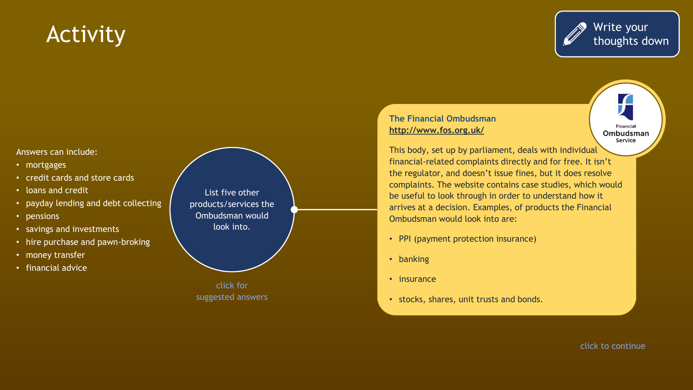### **Activity**



#### **The Financial Ombudsman <http://www.fos.org.uk/>**

 $\sqrt{ }$ **Financial** Ombudsman Service

This body, set up by parliament, deals with individual financial-related complaints directly and for free. It isn't the regulator, and doesn't issue fines, but it does resolve complaints. The website contains case studies, which would be useful to look through in order to understand how it arrives at a decision. Examples, of products the Financial Ombudsman would look into are:

- PPI (payment protection insurance)
- banking
- insurance
- stocks, shares, unit trusts and bonds.

#### Answers can include:

- mortgages
- credit cards and store cards
- loans and credit
- payday lending and debt collecting
- pensions
- savings and investments
- hire purchase and pawn-broking
- money transfer
- financial advice

List five other products/services the Ombudsman would look into.

click for suggested answers

click to continue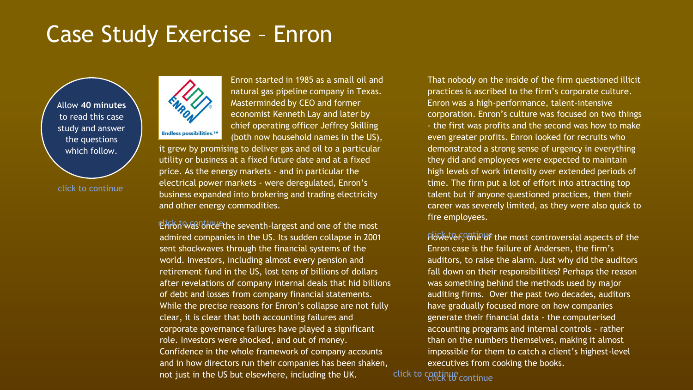Allow **40 minutes**  to read this case study and answer the questions which follow.

click to continue



Enron started in 1985 as a small oil and natural gas pipeline company in Texas. Masterminded by CEO and former economist Kenneth Lay and later by chief operating officer Jeffrey Skilling (both now household names in the US),

it grew by promising to deliver gas and oil to a particular utility or business at a fixed future date and at a fixed price. As the energy markets - and in particular the electrical power markets - were deregulated, Enron's business expanded into brokering and trading electricity and other energy commodities.

Ehrbit was bire ethe seventh-largest and one of the most admired companies in the US. Its sudden collapse in 2001 sent shockwaves through the financial systems of the world. Investors, including almost every pension and retirement fund in the US, lost tens of billions of dollars after revelations of company internal deals that hid billions of debt and losses from company financial statements. While the precise reasons for Enron's collapse are not fully clear, it is clear that both accounting failures and corporate governance failures have played a significant role. Investors were shocked, and out of money. Confidence in the whole framework of company accounts and in how directors run their companies has been shaken, not just in the US but elsewhere, including the UK.

That nobody on the inside of the firm questioned illicit practices is ascribed to the firm's corporate culture. Enron was a high-performance, talent-intensive corporation. Enron's culture was focused on two things - the first was profits and the second was how to make even greater profits. Enron looked for recruits who demonstrated a strong sense of urgency in everything they did and employees were expected to maintain high levels of work intensity over extended periods of time. The firm put a lot of effort into attracting top talent but if anyone questioned practices, then their career was severely limited, as they were also quick to fire employees.

However, ontinue the most controversial aspects of the Enron case is the failure of Andersen, the firm's auditors, to raise the alarm. Just why did the auditors fall down on their responsibilities? Perhaps the reason was something behind the methods used by major auditing firms. Over the past two decades, auditors have gradually focused more on how companies generate their financial data - the computerised accounting programs and internal controls - rather than on the numbers themselves, making it almost impossible for them to catch a client's highest-level executives from cooking the books.

click to continue click to continue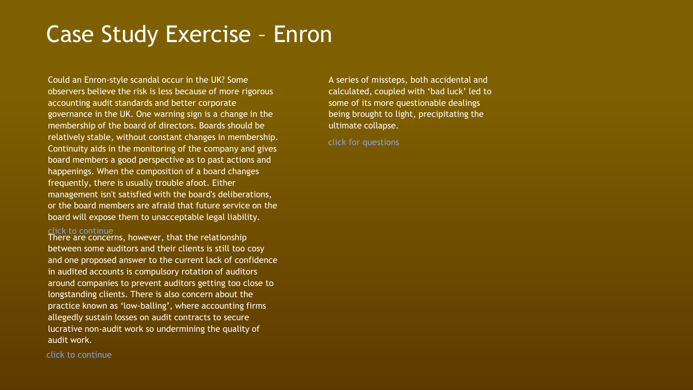Could an Enron-style scandal occur in the UK? Some observers believe the risk is less because of more rigorous accounting audit standards and better corporate governance in the UK. One warning sign is a change in the membership of the board of directors. Boards should be relatively stable, without constant changes in membership. Continuity aids in the monitoring of the company and gives board members a good perspective as to past actions and happenings. When the composition of a board changes frequently, there is usually trouble afoot. Either management isn't satisfied with the board's deliberations, or the board members are afraid that future service on the board will expose them to unacceptable legal liability.

#### click to continue

There are concerns, however, that the relationship between some auditors and their clients is still too cosy and one proposed answer to the current lack of confidence in audited accounts is compulsory rotation of auditors around companies to prevent auditors getting too close to longstanding clients. There is also concern about the practice known as 'low-balling', where accounting firms allegedly sustain losses on audit contracts to secure lucrative non-audit work so undermining the quality of audit work.

A series of missteps, both accidental and calculated, coupled with 'bad luck' led to some of its more questionable dealings being brought to light, precipitating the ultimate collapse.

click for questions

click to continue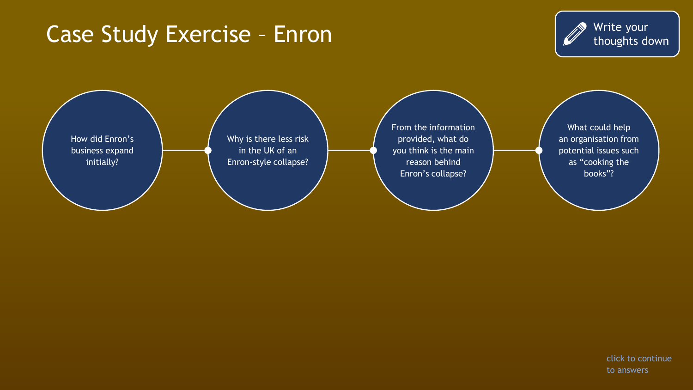

How did Enron's business expand initially? Why is there less risk in the UK of an Enron-style collapse? From the information provided, what do you think is the main reason behind Enron's collapse? What could help an organisation from potential issues such as "cooking the books"?

> click to continue to answers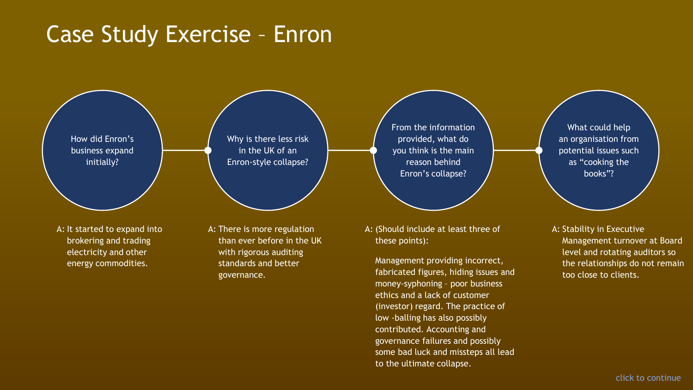How did Enron's business expand initially?

A: It started to expand into brokering and trading electricity and other energy commodities.

Why is there less risk in the UK of an Enron-style collapse?

A: There is more regulation than ever before in the UK with rigorous auditing standards and better governance.

From the information provided, what do you think is the main reason behind Enron's collapse?

A: (Should include at least three of these points):

Management providing incorrect, fabricated figures, hiding issues and money-syphoning – poor business ethics and a lack of customer (investor) regard. The practice of low -balling has also possibly contributed. Accounting and governance failures and possibly some bad luck and missteps all lead to the ultimate collapse.

What could help an organisation from potential issues such as "cooking the books"?

A: Stability in Executive Management turnover at Board level and rotating auditors so the relationships do not remain too close to clients.

click to continue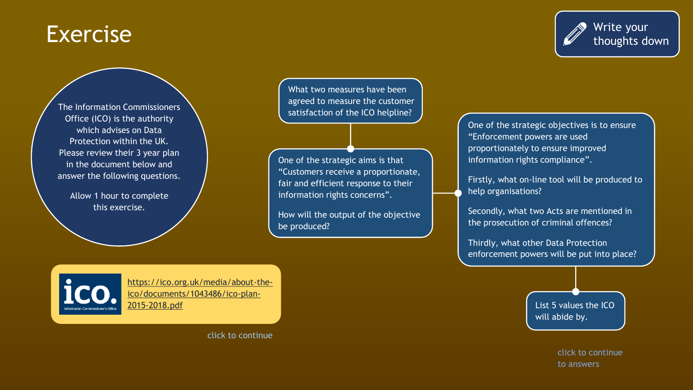#### Exercise

The Information Commissioners Office (ICO) is the authority which advises on Data Protection within the UK. Please review their 3 year plan in the document below and answer the following questions.

Allow 1 hour to complete this exercise.

What two measures have been agreed to measure the customer satisfaction of the ICO helpline?

One of the strategic aims is that "Customers receive a proportionate, fair and efficient response to their information rights concerns".

How will the output of the objective be produced?

One of the strategic objectives is to ensure "Enforcement powers are used proportionately to ensure improved information rights compliance".

Firstly, what on-line tool will be produced to help organisations?

Secondly, what two Acts are mentioned in the prosecution of criminal offences?

Thirdly, what other Data Protection enforcement powers will be put into place?

[https://ico.org.uk/media/about-the](https://ico.org.uk/media/about-the-ico/documents/1043486/ico-plan-2015-2018.pdf)ico/documents/1043486/ico-plan-2015-2018.pdf

click to continue

List 5 values the ICO will abide by.

> click to continue to answers

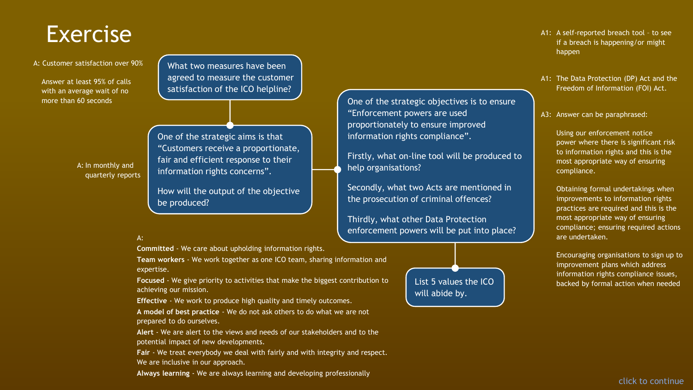#### Exercise

A: Customer satisfaction over 90%

Answer at least 95% of calls with an average wait of no more than 60 seconds

What two measures have been agreed to measure the customer satisfaction of the ICO helpline?

A: In monthly and quarterly reports

One of the strategic aims is that "Customers receive a proportionate, fair and efficient response to their information rights concerns".

How will the output of the objective be produced?

#### A:

**Committed** - We care about upholding information rights.

**Team workers** - We work together as one ICO team, sharing information and expertise.

**Focused** - We give priority to activities that make the biggest contribution to achieving our mission.

**Effective** - We work to produce high quality and timely outcomes.

**A model of best practice** - We do not ask others to do what we are not prepared to do ourselves.

**Alert** - We are alert to the views and needs of our stakeholders and to the potential impact of new developments.

**Fair** - We treat everybody we deal with fairly and with integrity and respect. We are inclusive in our approach.

**Always learning** - We are always learning and developing professionally

- A1: A self-reported breach tool to see if a breach is happening/or might happen
- A1: The Data Protection (DP) Act and the Freedom of Information (FOI) Act.
- A3: Answer can be paraphrased:

Using our enforcement notice power where there is significant risk to information rights and this is the most appropriate way of ensuring compliance.

Obtaining formal undertakings when improvements to information rights practices are required and this is the most appropriate way of ensuring compliance; ensuring required actions are undertaken.

Encouraging organisations to sign up to improvement plans which address information rights compliance issues, backed by formal action when needed



One of the strategic objectives is to ensure

Firstly, what on-line tool will be produced to

Secondly, what two Acts are mentioned in

enforcement powers will be put into place?

the prosecution of criminal offences?

Thirdly, what other Data Protection

"Enforcement powers are used

help organisations?

proportionately to ensure improved information rights compliance".